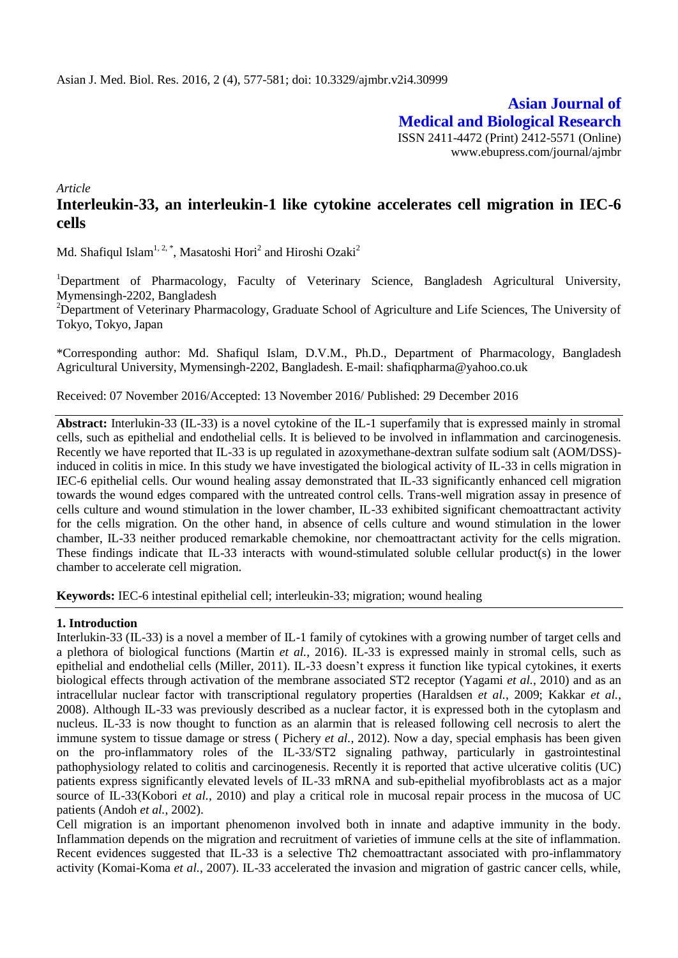**Asian Journal of Medical and Biological Research** ISSN 2411-4472 (Print) 2412-5571 (Online) www.ebupress.com/journal/ajmbr

*Article*

# **Interleukin-33, an interleukin-1 like cytokine accelerates cell migration in IEC-6 cells**

Md. Shafiqul Islam $^{1,\,2,\,*}$ , Masatoshi Hori $^2$  and Hiroshi Ozaki $^2$ 

<sup>1</sup>Department of Pharmacology, Faculty of Veterinary Science, Bangladesh Agricultural University, Mymensingh-2202, Bangladesh

<sup>2</sup>Department of Veterinary Pharmacology, Graduate School of Agriculture and Life Sciences, The University of Tokyo, Tokyo, Japan

\*Corresponding author: Md. Shafiqul Islam, D.V.M., Ph.D., Department of Pharmacology, Bangladesh Agricultural University, Mymensingh-2202, Bangladesh. E-mail: [shafiqpharma@yahoo.co.uk](mailto:shafiqpharma@yahoo.co.uk)

Received: 07 November 2016/Accepted: 13 November 2016/ Published: 29 December 2016

**Abstract:** Interlukin-33 (IL-33) is a novel cytokine of the IL-1 superfamily that is expressed mainly in stromal cells, such as epithelial and endothelial cells. It is believed to be involved in inflammation and carcinogenesis. Recently we have reported that IL-33 is up regulated in azoxymethane-dextran sulfate sodium salt (AOM/DSS) induced in colitis in mice. In this study we have investigated the biological activity of IL-33 in cells migration in IEC-6 epithelial cells. Our wound healing assay demonstrated that IL-33 significantly enhanced cell migration towards the wound edges compared with the untreated control cells. Trans-well migration assay in presence of cells culture and wound stimulation in the lower chamber, IL-33 exhibited significant chemoattractant activity for the cells migration. On the other hand, in absence of cells culture and wound stimulation in the lower chamber, IL-33 neither produced remarkable chemokine, nor chemoattractant activity for the cells migration. These findings indicate that IL-33 interacts with wound-stimulated soluble cellular product(s) in the lower chamber to accelerate cell migration.

**Keywords:** IEC-6 intestinal epithelial cell; interleukin-33; migration; wound healing

#### **1. Introduction**

Interlukin-33 (IL-33) is a novel a member of IL-1 family of cytokines with a growing number of target cells and a plethora of biological functions [\(Martin](#page-4-0) *et al.*, 2016). IL-33 is expressed mainly in stromal cells, such as epithelial and endothelial cells [\(Miller,](#page-4-1) 2011). IL-33 doesn't express it function like typical cytokines, it exerts biological effects through activation of the membrane associated ST2 receptor [\(Yagami](#page-4-2) *et al.*, 2010) and as an intracellular nuclear factor with transcriptional regulatory properties [\(Haraldsen](#page-4-3) *et al.*, 2009; [Kakkar](#page-4-4) *et al.*, [2008\)](#page-4-4). Although IL-33 was previously described as a nuclear factor, it is expressed both in the cytoplasm and nucleus. IL-33 is now thought to function as an alarmin that is released following cell necrosis to alert the immune system to tissue damage or stress ( [Pichery](#page-4-5) *et al.*, 2012). Now a day, special emphasis has been given on the pro-inflammatory roles of the IL-33/ST2 signaling pathway, particularly in gastrointestinal pathophysiology related to colitis and carcinogenesis. Recently it is reported that active ulcerative colitis (UC) patients express significantly elevated levels of IL-33 mRNA and sub-epithelial myofibroblasts act as a major source of IL-33[\(Kobori](#page-4-6) *et al.*, 2010) and play a critical role in mucosal repair process in the mucosa of UC patients [\(Andoh](#page-3-0) *et al.*, 2002).

Cell migration is an important phenomenon involved both in innate and adaptive immunity in the body. Inflammation depends on the migration and recruitment of varieties of immune cells at the site of inflammation. Recent evidences suggested that IL-33 is a selective Th2 chemoattractant associated with pro-inflammatory activity [\(Komai-Koma](#page-4-7) *et al.*, 2007). IL-33 accelerated the invasion and migration of gastric cancer cells, while,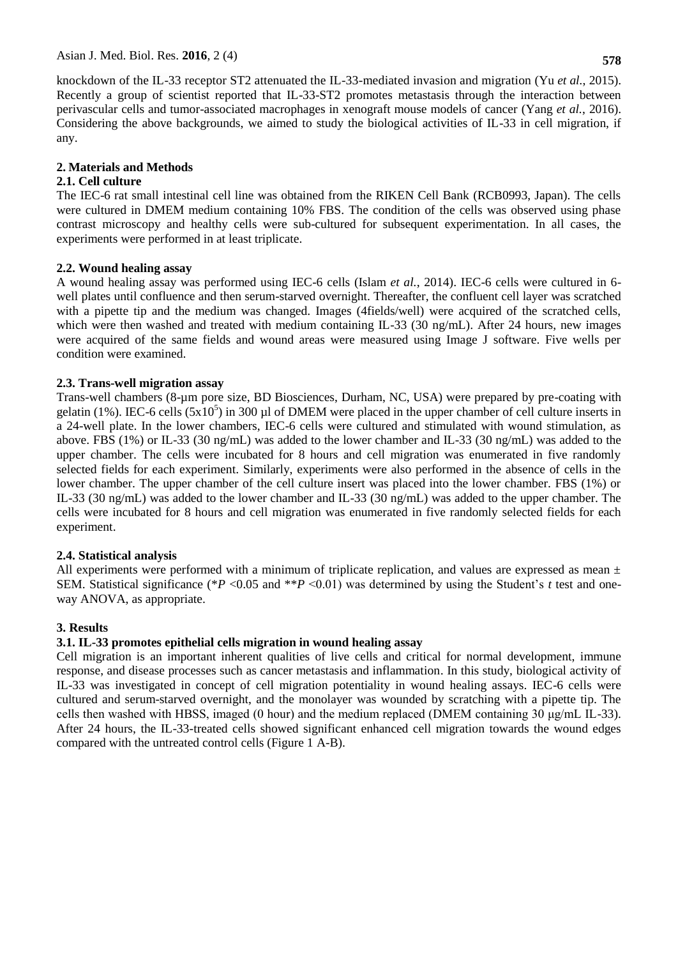knockdown of the IL-33 receptor ST2 attenuated the IL-33-mediated invasion and migration (Yu *et al.*[, 2015\)](#page-4-8). Recently a group of scientist reported that IL-33-ST2 promotes metastasis through the interaction between perivascular cells and tumor-associated macrophages in xenograft mouse models of cancer (Yang *et al.*[, 2016\)](#page-4-9). Considering the above backgrounds, we aimed to study the biological activities of IL-33 in cell migration, if any.

## **2. Materials and Methods**

### **2.1. Cell culture**

The IEC-6 rat small intestinal cell line was obtained from the RIKEN Cell Bank (RCB0993, Japan). The cells were cultured in DMEM medium containing 10% FBS. The condition of the cells was observed using phase contrast microscopy and healthy cells were sub-cultured for subsequent experimentation. In all cases, the experiments were performed in at least triplicate.

### **2.2. Wound healing assay**

A wound healing assay was performed using IEC-6 cells [\(Islam](#page-4-10) *et al.*, 2014). IEC-6 cells were cultured in 6 well plates until confluence and then serum-starved overnight. Thereafter, the confluent cell layer was scratched with a pipette tip and the medium was changed. Images (4fields/well) were acquired of the scratched cells, which were then washed and treated with medium containing IL-33 (30 ng/mL). After 24 hours, new images were acquired of the same fields and wound areas were measured using Image J software. Five wells per condition were examined.

### **2.3. Trans-well migration assay**

Trans-well chambers (8-µm pore size, BD Biosciences, Durham, NC, USA) were prepared by pre-coating with gelatin (1%). IEC-6 cells  $(5x10^5)$  in 300 µl of DMEM were placed in the upper chamber of cell culture inserts in a 24-well plate. In the lower chambers, IEC-6 cells were cultured and stimulated with wound stimulation, as above. FBS (1%) or IL-33 (30 ng/mL) was added to the lower chamber and IL-33 (30 ng/mL) was added to the upper chamber. The cells were incubated for 8 hours and cell migration was enumerated in five randomly selected fields for each experiment. Similarly, experiments were also performed in the absence of cells in the lower chamber. The upper chamber of the cell culture insert was placed into the lower chamber. FBS (1%) or IL-33 (30 ng/mL) was added to the lower chamber and IL-33 (30 ng/mL) was added to the upper chamber. The cells were incubated for 8 hours and cell migration was enumerated in five randomly selected fields for each experiment.

# **2.4. Statistical analysis**

All experiments were performed with a minimum of triplicate replication, and values are expressed as mean  $\pm$ SEM. Statistical significance (\**P* <0.05 and \*\**P* <0.01) was determined by using the Student's *t* test and oneway ANOVA, as appropriate.

# **3. Results**

# **3.1. IL-33 promotes epithelial cells migration in wound healing assay**

Cell migration is an important inherent qualities of live cells and critical for normal development, immune response, and disease processes such as cancer metastasis and inflammation. In this study, biological activity of IL-33 was investigated in concept of cell migration potentiality in wound healing assays. IEC-6 cells were cultured and serum-starved overnight, and the monolayer was wounded by scratching with a pipette tip. The cells then washed with HBSS, imaged (0 hour) and the medium replaced (DMEM containing 30 μg/mL IL-33). After 24 hours, the IL-33-treated cells showed significant enhanced cell migration towards the wound edges compared with the untreated control cells (Figure 1 A-B).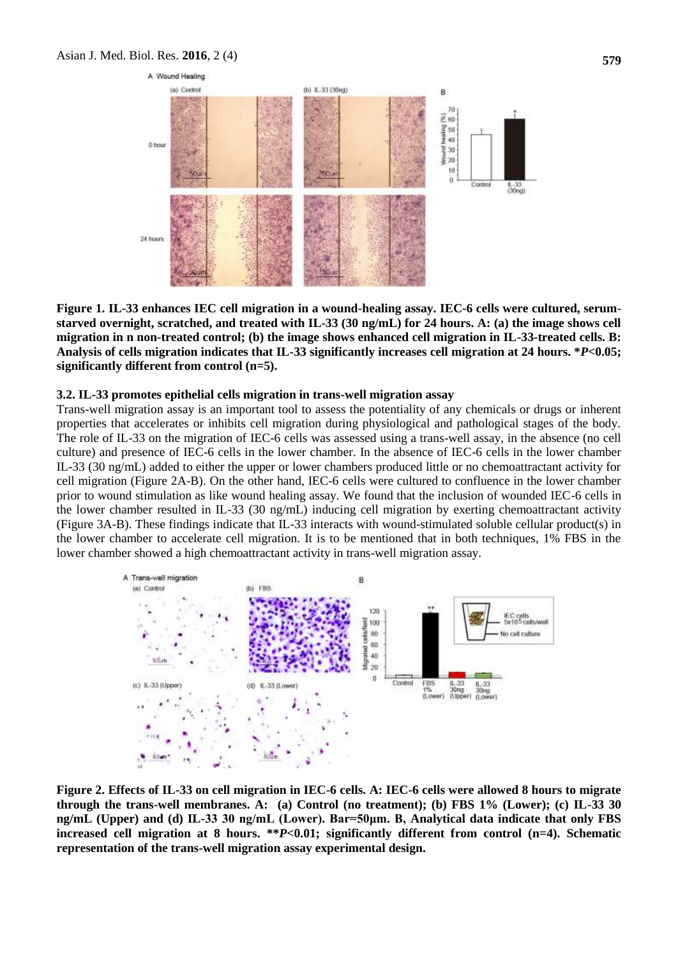

**Figure 1. IL-33 enhances IEC cell migration in a wound-healing assay. IEC-6 cells were cultured, serumstarved overnight, scratched, and treated with IL-33 (30 ng/mL) for 24 hours. A: (a) the image shows cell migration in n non-treated control; (b) the image shows enhanced cell migration in IL-33-treated cells. B: Analysis of cells migration indicates that IL-33 significantly increases cell migration at 24 hours. \****P***<0.05; significantly different from control (n=5).** 

#### **3.2. IL-33 promotes epithelial cells migration in trans-well migration assay**

Trans-well migration assay is an important tool to assess the potentiality of any chemicals or drugs or inherent properties that accelerates or inhibits cell migration during physiological and pathological stages of the body. The role of IL-33 on the migration of IEC-6 cells was assessed using a trans-well assay, in the absence (no cell culture) and presence of IEC-6 cells in the lower chamber. In the absence of IEC-6 cells in the lower chamber IL-33 (30 ng/mL) added to either the upper or lower chambers produced little or no chemoattractant activity for cell migration (Figure 2A-B). On the other hand, IEC-6 cells were cultured to confluence in the lower chamber prior to wound stimulation as like wound healing assay. We found that the inclusion of wounded IEC-6 cells in the lower chamber resulted in IL-33 (30 ng/mL) inducing cell migration by exerting chemoattractant activity (Figure 3A-B). These findings indicate that IL-33 interacts with wound-stimulated soluble cellular product(s) in the lower chamber to accelerate cell migration. It is to be mentioned that in both techniques, 1% FBS in the lower chamber showed a high chemoattractant activity in trans-well migration assay.



**Figure 2. Effects of IL-33 on cell migration in IEC-6 cells. A: IEC-6 cells were allowed 8 hours to migrate through the trans-well membranes. A: (a) Control (no treatment); (b) FBS 1% (Lower); (c) IL-33 30 ng/mL (Upper) and (d) IL-33 30 ng/mL (Lower). Bar=50μm. B, Analytical data indicate that only FBS increased cell migration at 8 hours. \*\****P***<0.01; significantly different from control (n=4). Schematic representation of the trans-well migration assay experimental design.**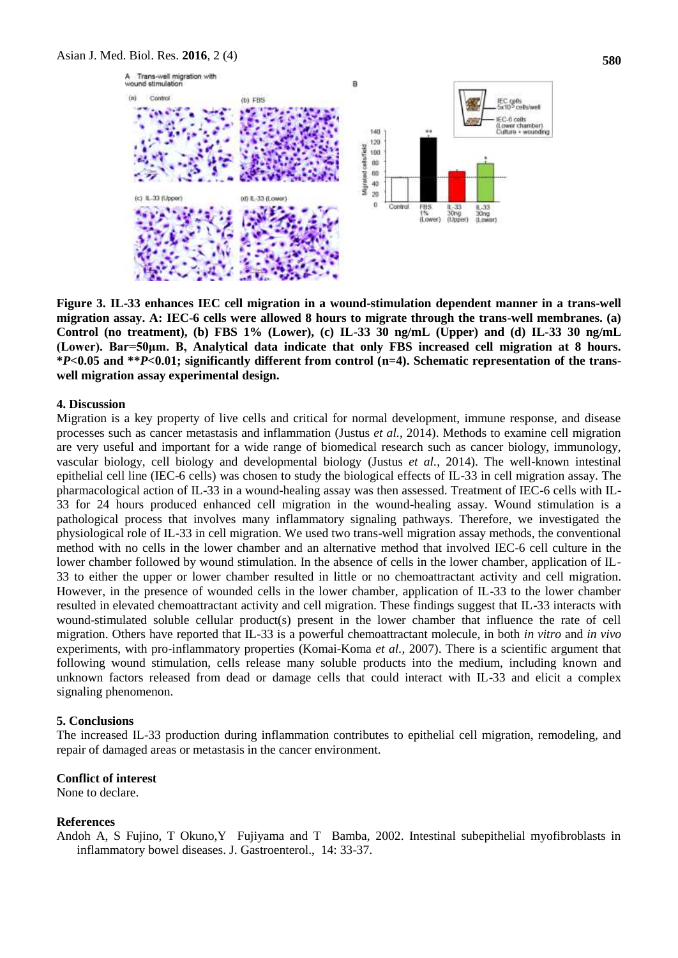

**Figure 3. IL-33 enhances IEC cell migration in a wound-stimulation dependent manner in a trans-well migration assay. A: IEC-6 cells were allowed 8 hours to migrate through the trans-well membranes. (a) Control (no treatment), (b) FBS 1% (Lower), (c) IL-33 30 ng/mL (Upper) and (d) IL-33 30 ng/mL (Lower). Bar=50μm. B, Analytical data indicate that only FBS increased cell migration at 8 hours. \****P***<0.05 and \*\****P***<0.01; significantly different from control (n=4). Schematic representation of the transwell migration assay experimental design.** 

#### **4. Discussion**

Migration is a key property of live cells and critical for normal development, immune response, and disease processes such as cancer metastasis and inflammation (Justus *et al.*[, 2014\)](#page-4-11). Methods to examine cell migration are very useful and important for a wide range of biomedical research such as cancer biology, immunology, vascular biology, cell biology and developmental biology (Justus *et al.*[, 2014\)](#page-4-11). The well-known intestinal epithelial cell line (IEC-6 cells) was chosen to study the biological effects of IL-33 in cell migration assay. The pharmacological action of IL-33 in a wound-healing assay was then assessed. Treatment of IEC-6 cells with IL-33 for 24 hours produced enhanced cell migration in the wound-healing assay. Wound stimulation is a pathological process that involves many inflammatory signaling pathways. Therefore, we investigated the physiological role of IL-33 in cell migration. We used two trans-well migration assay methods, the conventional method with no cells in the lower chamber and an alternative method that involved IEC-6 cell culture in the lower chamber followed by wound stimulation. In the absence of cells in the lower chamber, application of IL-33 to either the upper or lower chamber resulted in little or no chemoattractant activity and cell migration. However, in the presence of wounded cells in the lower chamber, application of IL-33 to the lower chamber resulted in elevated chemoattractant activity and cell migration. These findings suggest that IL-33 interacts with wound-stimulated soluble cellular product(s) present in the lower chamber that influence the rate of cell migration. Others have reported that IL-33 is a powerful chemoattractant molecule, in both *in vitro* and *in vivo* experiments, with pro-inflammatory properties [\(Komai-Koma](#page-4-7) *et al.*, 2007). There is a scientific argument that following wound stimulation, cells release many soluble products into the medium, including known and unknown factors released from dead or damage cells that could interact with IL-33 and elicit a complex signaling phenomenon.

#### **5. Conclusions**

The increased IL-33 production during inflammation contributes to epithelial cell migration, remodeling, and repair of damaged areas or metastasis in the cancer environment.

#### **Conflict of interest**

None to declare.

#### **References**

<span id="page-3-0"></span>Andoh A, S Fujino, T Okuno,Y Fujiyama and T Bamba, 2002. Intestinal subepithelial myofibroblasts in inflammatory bowel diseases. J. Gastroenterol., 14: 33-37.